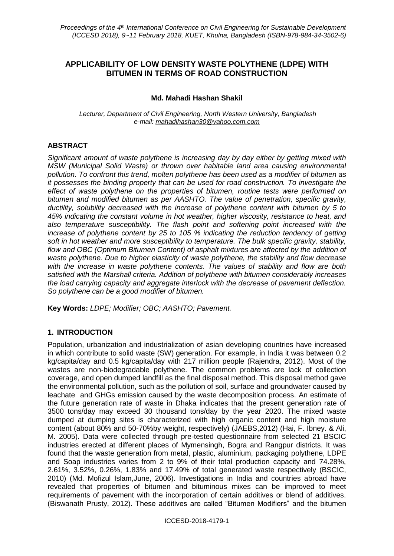# **APPLICABILITY OF LOW DENSITY WASTE POLYTHENE (LDPE) WITH BITUMEN IN TERMS OF ROAD CONSTRUCTION**

## **Md. Mahadi Hashan Shakil**

*Lecturer, Department of Civil Engineering, North Western University, Bangladesh e-mail: mahadihashan30@yahoo.com.com*

## **ABSTRACT**

*Significant amount of waste polythene is increasing day by day either by getting mixed with MSW (Municipal Solid Waste) or thrown over habitable land area causing environmental pollution. To confront this trend, molten polythene has been used as a modifier of bitumen as it possesses the binding property that can be used for road construction. To investigate the effect of waste polythene on the properties of bitumen, routine tests were performed on bitumen and modified bitumen as per AASHTO. The value of penetration, specific gravity, ductility, solubility decreased with the increase of polythene content with bitumen by 5 to 45% indicating the constant volume in hot weather, higher viscosity, resistance to heat, and also temperature susceptibility. The flash point and softening point increased with the increase of polythene content by 25 to 105 % indicating the reduction tendency of getting soft in hot weather and more susceptibility to temperature. The bulk specific gravity, stability, flow and OBC (Optimum Bitumen Content) of asphalt mixtures are affected by the addition of waste polythene. Due to higher elasticity of waste polythene, the stability and flow decrease with the increase in waste polythene contents. The values of stability and flow are both satisfied with the Marshall criteria. Addition of polythene with bitumen considerably increases the load carrying capacity and aggregate interlock with the decrease of pavement deflection. So polythene can be a good modifier of bitumen.*

**Key Words:** *LDPE; Modifier; OBC; AASHTO; Pavement.*

### **1. INTRODUCTION**

Population, urbanization and industrialization of asian developing countries have increased in which contribute to solid waste (SW) generation. For example, in India it was between 0.2 kg/capita/day and 0.5 kg/capita/day with 217 million people (Rajendra, 2012). Most of the wastes are non-biodegradable polythene. The common problems are lack of collection coverage, and open dumped landfill as the final disposal method. This disposal method gave the environmental pollution, such as the pollution of soil, surface and groundwater caused by leachate and GHGs emission caused by the waste decomposition process. An estimate of the future generation rate of waste in Dhaka indicates that the present generation rate of 3500 tons/day may exceed 30 thousand tons/day by the year 2020. The mixed waste dumped at dumping sites is characterized with high organic content and high moisture content (about 80% and 50-70%by weight, respectively) (JAEBS,2012) (Hai, F. Ibney. & Ali, M. 2005). Data were collected through pre-tested questionnaire from selected 21 BSCIC industries erected at different places of Mymensingh, Bogra and Rangpur districts. It was found that the waste generation from metal, plastic, aluminium, packaging polythene, LDPE and Soap industries varies from 2 to 9% of their total production capacity and 74.28%, 2.61%, 3.52%, 0.26%, 1.83% and 17.49% of total generated waste respectively (BSCIC, 2010) (Md. Mofizul Islam,June, 2006). Investigations in India and countries abroad have revealed that properties of bitumen and bituminous mixes can be improved to meet requirements of pavement with the incorporation of certain additives or blend of additives. (Biswanath Prusty, 2012). These additives are called "Bitumen Modifiers" and the bitumen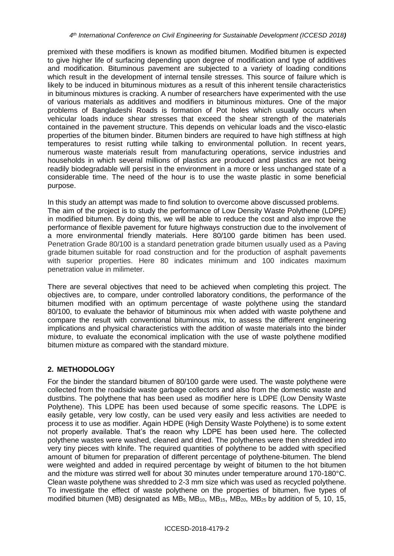premixed with these modifiers is known as modified bitumen. Modified bitumen is expected to give higher life of surfacing depending upon degree of modification and type of additives and modification. Bituminous pavement are subjected to a variety of loading conditions which result in the development of internal tensile stresses. This source of failure which is likely to be induced in bituminous mixtures as a result of this inherent tensile characteristics in bituminous mixtures is cracking. A number of researchers have experimented with the use of various materials as additives and modifiers in bituminous mixtures. One of the major problems of Bangladeshi Roads is formation of Pot holes which usually occurs when vehicular loads induce shear stresses that exceed the shear strength of the materials contained in the pavement structure. This depends on vehicular loads and the visco-elastic properties of the bitumen binder. Bitumen binders are required to have high stiffness at high temperatures to resist rutting while talking to environmental pollution. In recent years, numerous waste materials result from manufacturing operations, service industries and households in which several millions of plastics are produced and plastics are not being readily biodegradable will persist in the environment in a more or less unchanged state of a considerable time. The need of the hour is to use the waste plastic in some beneficial purpose.

In this study an attempt was made to find solution to overcome above discussed problems. The aim of the project is to study the performance of Low Density Waste Polythene (LDPE) in modified bitumen. By doing this, we will be able to reduce the cost and also improve the performance of flexible pavement for future highways construction due to the involvement of a more environmental friendly materials. Here 80/100 garde bitimen has been used. Penetration Grade 80/100 is a standard penetration grade bitumen usually used as a Paving grade bitumen suitable for road construction and for the production of asphalt pavements with superior properties. Here 80 indicates minimum and 100 indicates maximum penetration value in milimeter.

There are several objectives that need to be achieved when completing this project. The objectives are, to compare, under controlled laboratory conditions, the performance of the bitumen modified with an optimum percentage of waste polythene using the standard 80/100, to evaluate the behavior of bituminous mix when added with waste polythene and compare the result with conventional bituminous mix, to assess the different engineering implications and physical characteristics with the addition of waste materials into the binder mixture, to evaluate the economical implication with the use of waste polythene modified bitumen mixture as compared with the standard mixture.

## **2. METHODOLOGY**

For the binder the standard bitumen of 80/100 garde were used. The waste polythene were collected from the roadside waste garbage collectors and also from the domestic waste and dustbins. The polythene that has been used as modifier here is LDPE (Low Density Waste Polythene). This LDPE has been used because of some specific reasons. The LDPE is easily getable, very low costly, can be used very easily and less activities are needed to process it to use as modifier. Again HDPE (High Density Waste Polythene) is to some extent not properly available. That's the reaon why LDPE has been used here. The collected polythene wastes were washed, cleaned and dried. The polythenes were then shredded into very tiny pieces with klnife. The required quantities of polythene to be added with specified amount of bitumen for preparation of different percentage of polythene-bitumen. The blend were weighted and added in required percentage by weight of bitumen to the hot bitumen and the mixture was stirred well for about 30 minutes under temperature around 170-180°C. Clean waste polythene was shredded to 2-3 mm size which was used as recycled polythene. To investigate the effect of waste polythene on the properties of bitumen, five types of modified bitumen (MB) designated as  $MB<sub>5</sub>$ , MB<sub>15</sub>, MB<sub>15</sub>, MB<sub>25</sub> by addition of 5, 10, 15,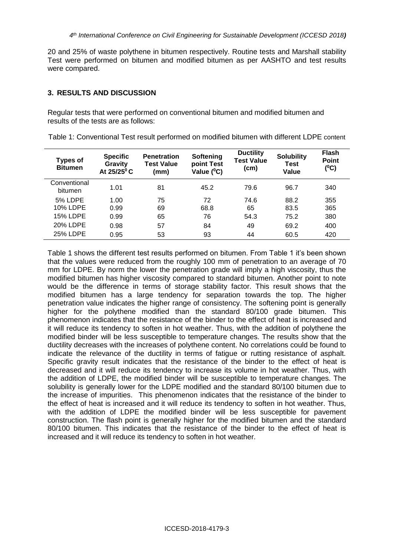20 and 25% of waste polythene in bitumen respectively. Routine tests and Marshall stability Test were performed on bitumen and modified bitumen as per AASHTO and test results were compared.

### **3. RESULTS AND DISCUSSION**

Regular tests that were performed on conventional bitumen and modified bitumen and results of the tests are as follows:

| <b>Types of</b><br><b>Bitumen</b> | <b>Specific</b><br>Gravity<br>At 25/25°C | <b>Penetration</b><br><b>Test Value</b><br>(mm) | Softening<br>point Test<br>Value (°C) | <b>Ductility</b><br><b>Test Value</b><br>(cm) | <b>Solubility</b><br><b>Test</b><br>Value | <b>Flash</b><br><b>Point</b><br>$(^{0}C)$ |
|-----------------------------------|------------------------------------------|-------------------------------------------------|---------------------------------------|-----------------------------------------------|-------------------------------------------|-------------------------------------------|
| Conventional<br>bitumen           | 1.01                                     | 81                                              | 45.2                                  | 79.6                                          | 96.7                                      | 340                                       |
| <b>5% LDPE</b>                    | 1.00                                     | 75                                              | 72                                    | 74.6                                          | 88.2                                      | 355                                       |
| 10% LDPE                          | 0.99                                     | 69                                              | 68.8                                  | 65                                            | 83.5                                      | 365                                       |
| <b>15% LDPE</b>                   | 0.99                                     | 65                                              | 76                                    | 54.3                                          | 75.2                                      | 380                                       |
| 20% LDPE                          | 0.98                                     | 57                                              | 84                                    | 49                                            | 69.2                                      | 400                                       |
| 25% LDPE                          | 0.95                                     | 53                                              | 93                                    | 44                                            | 60.5                                      | 420                                       |

Table 1: Conventional Test result performed on modified bitumen with different LDPE content

Table 1 shows the different test results performed on bitumen. From Table 1 it's been shown that the values were reduced from the roughly 100 mm of penetration to an average of 70 mm for LDPE. By norm the lower the penetration grade will imply a high viscosity, thus the modified bitumen has higher viscosity compared to standard bitumen. Another point to note would be the difference in terms of storage stability factor. This result shows that the modified bitumen has a large tendency for separation towards the top. The higher penetration value indicates the higher range of consistency. The softening point is generally higher for the polythene modified than the standard 80/100 grade bitumen. This phenomenon indicates that the resistance of the binder to the effect of heat is increased and it will reduce its tendency to soften in hot weather. Thus, with the addition of polythene the modified binder will be less susceptible to temperature changes. The results show that the ductility decreases with the increases of polythene content. No correlations could be found to indicate the relevance of the ductility in terms of fatigue or rutting resistance of asphalt. Specific gravity result indicates that the resistance of the binder to the effect of heat is decreased and it will reduce its tendency to increase its volume in hot weather. Thus, with the addition of LDPE, the modified binder will be susceptible to temperature changes. The solubility is generally lower for the LDPE modified and the standard 80/100 bitumen due to the increase of impurities. This phenomenon indicates that the resistance of the binder to the effect of heat is increased and it will reduce its tendency to soften in hot weather. Thus, with the addition of LDPE the modified binder will be less susceptible for pavement construction. The flash point is generally higher for the modified bitumen and the standard 80/100 bitumen. This indicates that the resistance of the binder to the effect of heat is increased and it will reduce its tendency to soften in hot weather.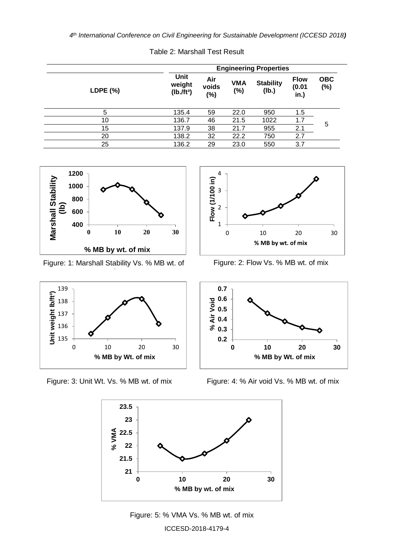|          | <b>Engineering Properties</b>            |                        |                   |                           |                               |                   |  |  |
|----------|------------------------------------------|------------------------|-------------------|---------------------------|-------------------------------|-------------------|--|--|
| LDPE (%) | Unit<br>weight<br>(Ib./ft <sup>3</sup> ) | Air<br>voids<br>$(\%)$ | <b>VMA</b><br>(%) | <b>Stability</b><br>(Ib.) | <b>Flow</b><br>(0.01)<br>in.) | <b>OBC</b><br>(%) |  |  |
| 5        | 135.4                                    | 59                     | 22.0              | 950                       | 1.5                           |                   |  |  |
| 10       | 136.7                                    | 46                     | 21.5              | 1022                      | 1.7                           | 5                 |  |  |
| 15       | 137.9                                    | 38                     | 21.7              | 955                       | 2.1                           |                   |  |  |
| 20       | 138.2                                    | 32                     | 22.2              | 750                       | 2.7                           |                   |  |  |
| 25       | 136.2                                    | 29                     | 23.0              | 550                       | 3.7                           |                   |  |  |

Table 2: Marshall Test Result



Figure: 1: Marshall Stability Vs. % MB wt. of mix





Figure: 2: Flow Vs. % MB wt. of mix



Figure: 3: Unit Wt. Vs. % MB wt. of mix Figure: 4: % Air void Vs. % MB wt. of mix



ICCESD-2018-4179-4 Figure: 5: % VMA Vs. % MB wt. of mix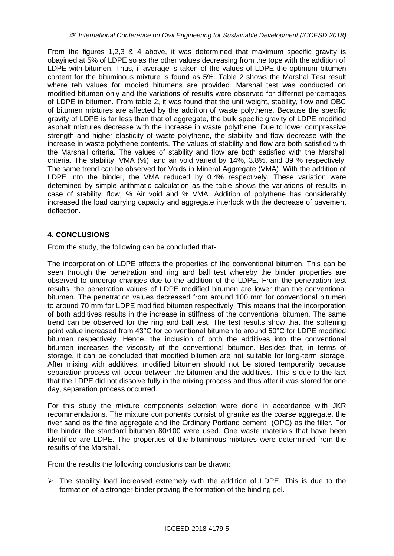From the figures 1,2,3 & 4 above, it was determined that maximum specific gravity is obayined at 5% of LDPE so as the other values decreasing from the tope with the addition of LDPE with bitumen. Thus, if average is taken of the values of LDPE the optimum bitumen content for the bituminous mixture is found as 5%. Table 2 shows the Marshal Test result where teh values for modied bitumens are provided. Marshal test was conducted on modified bitumen only and the variations of results were observed for differnet percentages of LDPE in bitumen. From table 2, it was found that the unit weight, stability, flow and OBC of bitumen mixtures are affected by the addition of waste polythene. Because the specific gravity of LDPE is far less than that of aggregate, the bulk specific gravity of LDPE modified asphalt mixtures decrease with the increase in waste polythene. Due to lower compressive strength and higher elasticity of waste polythene, the stability and flow decrease with the increase in waste polythene contents. The values of stability and flow are both satisfied with the Marshall criteria. The values of stability and flow are both satisfied with the Marshall criteria. The stability, VMA (%), and air void varied by 14%, 3.8%, and 39 % respectively. The same trend can be observed for Voids in Mineral Aggregate (VMA). With the addition of LDPE into the binder, the VMA reduced by 0.4% respectively. These variation were detemined by simple arithmatic calculation as the table shows the variations of results in case of stability, flow, % Air void and % VMA. Addition of polythene has considerably increased the load carrying capacity and aggregate interlock with the decrease of pavement deflection.

### **4. CONCLUSIONS**

From the study, the following can be concluded that-

The incorporation of LDPE affects the properties of the conventional bitumen. This can be seen through the penetration and ring and ball test whereby the binder properties are observed to undergo changes due to the addition of the LDPE. From the penetration test results, the penetration values of LDPE modified bitumen are lower than the conventional bitumen. The penetration values decreased from around 100 mm for conventional bitumen to around 70 mm for LDPE modified bitumen respectively. This means that the incorporation of both additives results in the increase in stiffness of the conventional bitumen. The same trend can be observed for the ring and ball test. The test results show that the softening point value increased from 43°C for conventional bitumen to around 50°C for LDPE modified bitumen respectively. Hence, the inclusion of both the additives into the conventional bitumen increases the viscosity of the conventional bitumen. Besides that, in terms of storage, it can be concluded that modified bitumen are not suitable for long-term storage. After mixing with additives, modified bitumen should not be stored temporarily because separation process will occur between the bitumen and the additives. This is due to the fact that the LDPE did not dissolve fully in the mixing process and thus after it was stored for one day, separation process occurred.

For this study the mixture components selection were done in accordance with JKR recommendations. The mixture components consist of granite as the coarse aggregate, the river sand as the fine aggregate and the Ordinary Portland cement (OPC) as the filler. For the binder the standard bitumen 80/100 were used. One waste materials that have been identified are LDPE. The properties of the bituminous mixtures were determined from the results of the Marshall.

From the results the following conclusions can be drawn:

 $\triangleright$  The stability load increased extremely with the addition of LDPE. This is due to the formation of a stronger binder proving the formation of the binding gel.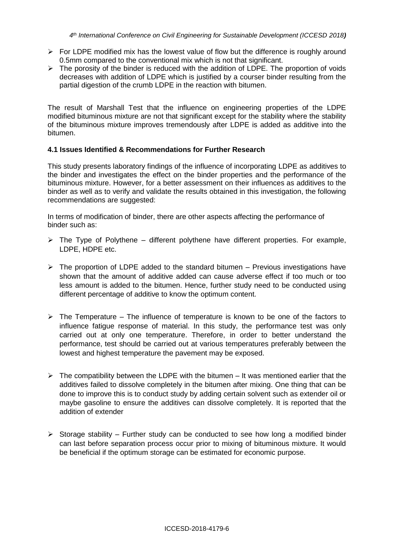- $\triangleright$  For LDPE modified mix has the lowest value of flow but the difference is roughly around 0.5mm compared to the conventional mix which is not that significant.
- $\triangleright$  The porosity of the binder is reduced with the addition of LDPE. The proportion of voids decreases with addition of LDPE which is justified by a courser binder resulting from the partial digestion of the crumb LDPE in the reaction with bitumen.

The result of Marshall Test that the influence on engineering properties of the LDPE modified bituminous mixture are not that significant except for the stability where the stability of the bituminous mixture improves tremendously after LDPE is added as additive into the bitumen.

### **4.1 Issues Identified & Recommendations for Further Research**

This study presents laboratory findings of the influence of incorporating LDPE as additives to the binder and investigates the effect on the binder properties and the performance of the bituminous mixture. However, for a better assessment on their influences as additives to the binder as well as to verify and validate the results obtained in this investigation, the following recommendations are suggested:

In terms of modification of binder, there are other aspects affecting the performance of binder such as:

- $\triangleright$  The Type of Polythene different polythene have different properties. For example, LDPE, HDPE etc.
- $\triangleright$  The proportion of LDPE added to the standard bitumen Previous investigations have shown that the amount of additive added can cause adverse effect if too much or too less amount is added to the bitumen. Hence, further study need to be conducted using different percentage of additive to know the optimum content.
- $\triangleright$  The Temperature The influence of temperature is known to be one of the factors to influence fatigue response of material. In this study, the performance test was only carried out at only one temperature. Therefore, in order to better understand the performance, test should be carried out at various temperatures preferably between the lowest and highest temperature the pavement may be exposed.
- $\triangleright$  The compatibility between the LDPE with the bitumen It was mentioned earlier that the additives failed to dissolve completely in the bitumen after mixing. One thing that can be done to improve this is to conduct study by adding certain solvent such as extender oil or maybe gasoline to ensure the additives can dissolve completely. It is reported that the addition of extender
- $\triangleright$  Storage stability Further study can be conducted to see how long a modified binder can last before separation process occur prior to mixing of bituminous mixture. It would be beneficial if the optimum storage can be estimated for economic purpose.